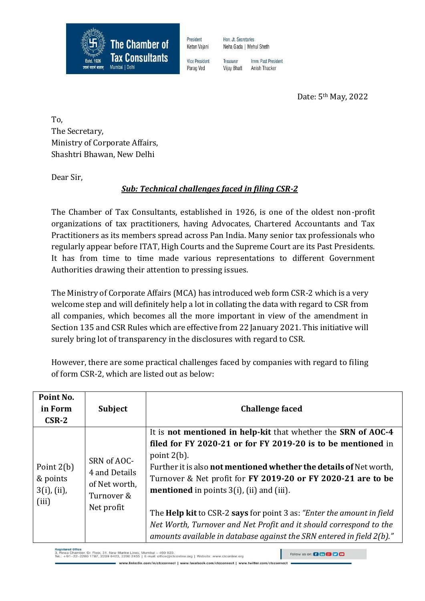

President Ketan Vaiani

**Vice President** 

Parag Ved

Hon, Jt. Secretaries Neha Gada | Mehul Sheth

Treasurer Imm Past President **Vijay Bhatt** Anish Thacker

Date: 5th May, 2022

To, The Secretary, Ministry of Corporate Affairs, Shashtri Bhawan, New Delhi

Dear Sir,

## *Sub: Technical challenges faced in filing CSR-2*

The Chamber of Tax Consultants, established in 1926, is one of the oldest non-profit organizations of tax practitioners, having Advocates, Chartered Accountants and Tax Practitioners as its members spread across Pan India. Many senior tax professionals who regularly appear before ITAT, High Courts and the Supreme Court are its Past Presidents. It has from time to time made various representations to different Government Authorities drawing their attention to pressing issues.

The Ministry of Corporate Affairs (MCA) has introduced web form CSR-2 which is a very welcome step and will definitely help a lot in collating the data with regard to CSR from all companies, which becomes all the more important in view of the amendment in Section 135 and CSR Rules which are effective from 22 January 2021. This initiative will surely bring lot of transparency in the disclosures with regard to CSR.

However, there are some practical challenges faced by companies with regard to filing of form CSR-2, which are listed out as below:

| Point No.<br>in Form<br>$CSR-2$                        | <b>Subject</b>                                                            | <b>Challenge faced</b>                                                                                                                                                                                                                                                                                                                                                                                                                                                                                                                                                      |
|--------------------------------------------------------|---------------------------------------------------------------------------|-----------------------------------------------------------------------------------------------------------------------------------------------------------------------------------------------------------------------------------------------------------------------------------------------------------------------------------------------------------------------------------------------------------------------------------------------------------------------------------------------------------------------------------------------------------------------------|
| Point $2(b)$<br>& points<br>$3(i)$ , $(ii)$ ,<br>(iii) | SRN of AOC-<br>4 and Details<br>of Net worth,<br>Turnover &<br>Net profit | It is not mentioned in help-kit that whether the SRN of AOC-4<br>filed for FY 2020-21 or for FY 2019-20 is to be mentioned in<br>point $2(b)$ .<br>Further it is also <b>not mentioned whether the details of</b> Net worth,<br>Turnover & Net profit for FY 2019-20 or FY 2020-21 are to be<br><b>mentioned</b> in points $3(i)$ , (ii) and (iii).<br>The Help kit to CSR-2 says for point 3 as: "Enter the amount in field<br>Net Worth, Turnover and Net Profit and it should correspond to the<br>amounts available in database against the SRN entered in field 2(b)." |

Registered Office<br>3, Rewa Chamber, Gr. Floor, 31, New Marine Lines, Mumbai – 400.020.<br>Tel.: +91–22–2200 1787, 2209 0423, 2200 2455 | E-mail: office@ctconline.org | Website: www.ctconline.org

www.linkedin.com/in/ctcconnect | www.facebook.com/ctcconnect |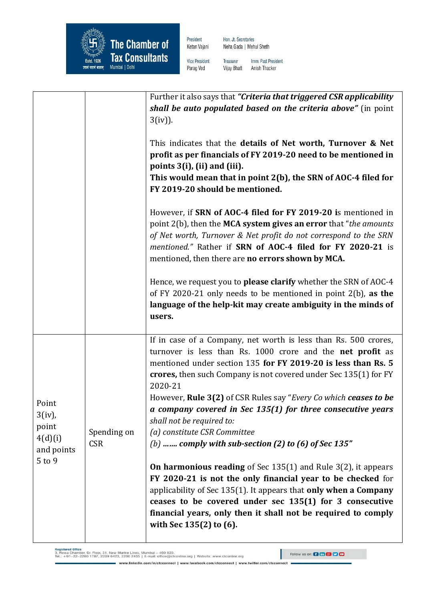

President Ketan Vajani Hon. Jt. Secretaries Neha Gada | Mehul Sheth

Vice President Parag Ved

Imm. Past President Treasurer **Vijay Bhatt** Anish Thacker

|                                                                    |                           | Further it also says that "Criteria that triggered CSR applicability<br>shall be auto populated based on the criteria above" (in point<br>$3(iv)$ ).<br>This indicates that the details of Net worth, Turnover & Net<br>profit as per financials of FY 2019-20 need to be mentioned in<br>points 3(i), (ii) and (iii).<br>This would mean that in point 2(b), the SRN of AOC-4 filed for<br>FY 2019-20 should be mentioned.<br>However, if SRN of AOC-4 filed for FY 2019-20 is mentioned in<br>point 2(b), then the MCA system gives an error that "the amounts<br>of Net worth, Turnover & Net profit do not correspond to the SRN<br>mentioned." Rather if SRN of AOC-4 filed for FY 2020-21 is<br>mentioned, then there are no errors shown by MCA.                                                                  |
|--------------------------------------------------------------------|---------------------------|--------------------------------------------------------------------------------------------------------------------------------------------------------------------------------------------------------------------------------------------------------------------------------------------------------------------------------------------------------------------------------------------------------------------------------------------------------------------------------------------------------------------------------------------------------------------------------------------------------------------------------------------------------------------------------------------------------------------------------------------------------------------------------------------------------------------------|
|                                                                    |                           | Hence, we request you to please clarify whether the SRN of AOC-4<br>of FY 2020-21 only needs to be mentioned in point 2(b), as the<br>language of the help-kit may create ambiguity in the minds of<br>users.                                                                                                                                                                                                                                                                                                                                                                                                                                                                                                                                                                                                            |
| Point<br>$3(iv)$ ,<br>point<br>4(d)(i)<br>and points<br>$5$ to $9$ | Spending on<br><b>CSR</b> | If in case of a Company, net worth is less than Rs. 500 crores,<br>turnover is less than Rs. 1000 crore and the <b>net profit</b> as<br>mentioned under section 135 for FY 2019-20 is less than Rs. 5<br>crores, then such Company is not covered under Sec 135(1) for FY<br>2020-21<br>However, Rule 3(2) of CSR Rules say "Every Co which ceases to be<br>a company covered in Sec $135(1)$ for three consecutive years<br>shall not be required to:<br>(a) constitute CSR Committee<br>(b)  comply with sub-section (2) to (6) of Sec 135"<br><b>On harmonious reading</b> of Sec $135(1)$ and Rule $3(2)$ , it appears<br>FY 2020-21 is not the only financial year to be checked for<br>applicability of Sec 135(1). It appears that only when a Company<br>ceases to be covered under sec 135(1) for 3 consecutive |
|                                                                    |                           | financial years, only then it shall not be required to comply<br>with Sec 135(2) to (6).                                                                                                                                                                                                                                                                                                                                                                                                                                                                                                                                                                                                                                                                                                                                 |

Registered Office<br>3, Rewa Chamber, Gr. Floor, 31, New Marine Lines, Mumbai – 400.020.<br>Tel.: +91–22–2200 1787, 2209 0423, 2200 2455 | E-mail: office@ctconline.org | Website: www.ctconline.org

www.linkedin.com/in/ctcconnect | www.faceb

ook.com/ctcconnect | www.twitter.com/ctcconnect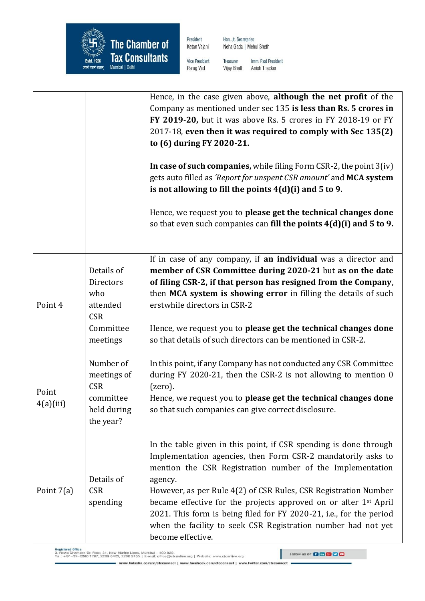

President Ketan Vajani Hon. Jt. Secretaries Neha Gada | Mehul Sheth

Vice President Parag Ved

Imm. Past President Treasurer **Vijay Bhatt** Anish Thacker

|                    |                                                                                          | Hence, in the case given above, although the net profit of the<br>Company as mentioned under sec 135 is less than Rs. 5 crores in<br>FY 2019-20, but it was above Rs. 5 crores in FY 2018-19 or FY<br>2017-18, even then it was required to comply with Sec 135(2)<br>to (6) during FY 2020-21.<br>In case of such companies, while filing Form CSR-2, the point 3(iv)<br>gets auto filled as 'Report for unspent CSR amount' and MCA system<br>is not allowing to fill the points $4(d)(i)$ and 5 to 9.                  |
|--------------------|------------------------------------------------------------------------------------------|---------------------------------------------------------------------------------------------------------------------------------------------------------------------------------------------------------------------------------------------------------------------------------------------------------------------------------------------------------------------------------------------------------------------------------------------------------------------------------------------------------------------------|
|                    |                                                                                          | Hence, we request you to please get the technical changes done<br>so that even such companies can fill the points $4(d)(i)$ and 5 to 9.                                                                                                                                                                                                                                                                                                                                                                                   |
| Point 4            | Details of<br><b>Directors</b><br>who<br>attended<br><b>CSR</b><br>Committee<br>meetings | If in case of any company, if an individual was a director and<br>member of CSR Committee during 2020-21 but as on the date<br>of filing CSR-2, if that person has resigned from the Company,<br>then MCA system is showing error in filling the details of such<br>erstwhile directors in CSR-2<br>Hence, we request you to please get the technical changes done<br>so that details of such directors can be mentioned in CSR-2.                                                                                        |
| Point<br>4(a)(iii) | Number of<br>meetings of<br><b>CSR</b><br>committee<br>held during<br>the year?          | In this point, if any Company has not conducted any CSR Committee<br>during FY 2020-21, then the CSR-2 is not allowing to mention 0<br>(zero).<br>Hence, we request you to please get the technical changes done<br>so that such companies can give correct disclosure.                                                                                                                                                                                                                                                   |
| Point $7(a)$       | Details of<br><b>CSR</b><br>spending                                                     | In the table given in this point, if CSR spending is done through<br>Implementation agencies, then Form CSR-2 mandatorily asks to<br>mention the CSR Registration number of the Implementation<br>agency.<br>However, as per Rule 4(2) of CSR Rules, CSR Registration Number<br>became effective for the projects approved on or after 1 <sup>st</sup> April<br>2021. This form is being filed for FY 2020-21, i.e., for the period<br>when the facility to seek CSR Registration number had not yet<br>become effective. |

Registered Office<br>3, Rewa Chamber, Gr. Floor, 31, New Marine Lines, Mumbai – 400.020.<br>Tel.: +91–22–2200 1787, 2209 0423, 2200 2455 | E-mail: office@ctconline.org | Website: www.ctconline.org

www.linkedin.com/in/ctcconnect | www.facebook.com/ctcconnect | www.twitter.com/ctcconnect